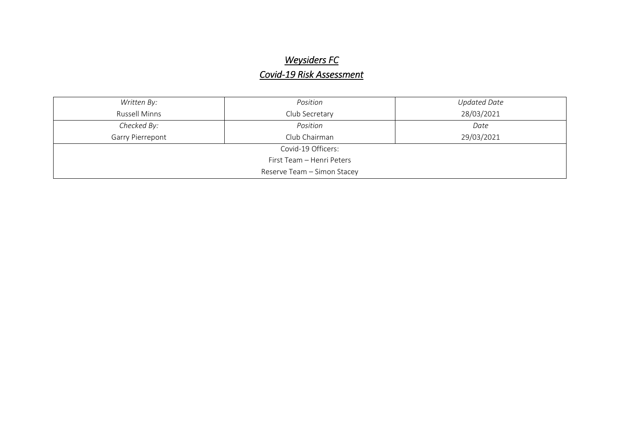## **Weysiders FC**

## $Covid$ -19 Risk Assessment

| Written By:                 | Position       | <b>Updated Date</b> |  |  |  |  |
|-----------------------------|----------------|---------------------|--|--|--|--|
| <b>Russell Minns</b>        | Club Secretary | 28/03/2021          |  |  |  |  |
| Checked By:                 | Position       | Date                |  |  |  |  |
| Garry Pierrepont            | Club Chairman  | 29/03/2021          |  |  |  |  |
| Covid-19 Officers:          |                |                     |  |  |  |  |
| First Team - Henri Peters   |                |                     |  |  |  |  |
| Reserve Team - Simon Stacey |                |                     |  |  |  |  |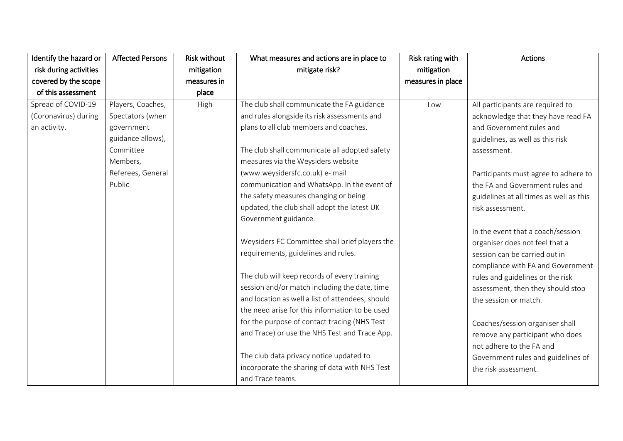| Identify the hazard or | <b>Affected Persons</b> | <b>Risk without</b> | What measures and actions are in place to        | Risk rating with  | <b>Actions</b>                          |
|------------------------|-------------------------|---------------------|--------------------------------------------------|-------------------|-----------------------------------------|
| risk during activities |                         | mitigation          | mitigate risk?                                   | mitigation        |                                         |
| covered by the scope   |                         | measures in         |                                                  | measures in place |                                         |
| of this assessment     |                         | place               |                                                  |                   |                                         |
| Spread of COVID-19     | Players, Coaches,       | High                | The club shall communicate the FA guidance       | Low               | All participants are required to        |
| (Coronavirus) during   | Spectators (when        |                     | and rules alongside its risk assessments and     |                   | acknowledge that they have read FA      |
| an activity.           | government              |                     | plans to all club members and coaches.           |                   | and Government rules and                |
|                        | guidance allows),       |                     |                                                  |                   | guidelines, as well as this risk        |
|                        | Committee               |                     | The club shall communicate all adopted safety    |                   | assessment.                             |
|                        | Members,                |                     | measures via the Weysiders website               |                   |                                         |
|                        | Referees, General       |                     | (www.weysidersfc.co.uk) e- mail                  |                   | Participants must agree to adhere to    |
|                        | Public                  |                     | communication and WhatsApp. In the event of      |                   | the FA and Government rules and         |
|                        |                         |                     | the safety measures changing or being            |                   | guidelines at all times as well as this |
|                        |                         |                     | updated, the club shall adopt the latest UK      |                   | risk assessment.                        |
|                        |                         |                     | Government guidance.                             |                   |                                         |
|                        |                         |                     |                                                  |                   | In the event that a coach/session       |
|                        |                         |                     | Weysiders FC Committee shall brief players the   |                   | organiser does not feel that a          |
|                        |                         |                     | requirements, guidelines and rules.              |                   | session can be carried out in           |
|                        |                         |                     |                                                  |                   | compliance with FA and Government       |
|                        |                         |                     | The club will keep records of every training     |                   | rules and guidelines or the risk        |
|                        |                         |                     | session and/or match including the date, time    |                   | assessment, then they should stop       |
|                        |                         |                     | and location as well a list of attendees, should |                   | the session or match.                   |
|                        |                         |                     | the need arise for this information to be used   |                   |                                         |
|                        |                         |                     | for the purpose of contact tracing (NHS Test     |                   | Coaches/session organiser shall         |
|                        |                         |                     | and Trace) or use the NHS Test and Trace App.    |                   | remove any participant who does         |
|                        |                         |                     |                                                  |                   | not adhere to the FA and                |
|                        |                         |                     | The club data privacy notice updated to          |                   | Government rules and guidelines of      |
|                        |                         |                     | incorporate the sharing of data with NHS Test    |                   | the risk assessment.                    |
|                        |                         |                     | and Trace teams.                                 |                   |                                         |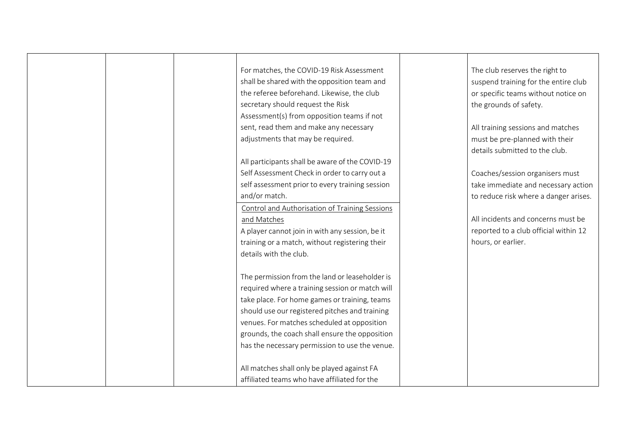| For matches, the COVID-19 Risk Assessment<br>shall be shared with the opposition team and<br>the referee beforehand. Likewise, the club<br>secretary should request the Risk | The club reserves the right to<br>suspend training for the entire club<br>or specific teams without notice on<br>the grounds of safety. |
|------------------------------------------------------------------------------------------------------------------------------------------------------------------------------|-----------------------------------------------------------------------------------------------------------------------------------------|
| Assessment(s) from opposition teams if not<br>sent, read them and make any necessary<br>adjustments that may be required.                                                    | All training sessions and matches<br>must be pre-planned with their                                                                     |
| All participants shall be aware of the COVID-19                                                                                                                              | details submitted to the club.                                                                                                          |
| Self Assessment Check in order to carry out a<br>self assessment prior to every training session                                                                             | Coaches/session organisers must<br>take immediate and necessary action                                                                  |
| and/or match.<br>Control and Authorisation of Training Sessions                                                                                                              | to reduce risk where a danger arises.                                                                                                   |
| and Matches<br>A player cannot join in with any session, be it                                                                                                               | All incidents and concerns must be<br>reported to a club official within 12                                                             |
| training or a match, without registering their<br>details with the club.                                                                                                     | hours, or earlier.                                                                                                                      |
| The permission from the land or leaseholder is                                                                                                                               |                                                                                                                                         |
| required where a training session or match will<br>take place. For home games or training, teams                                                                             |                                                                                                                                         |
| should use our registered pitches and training<br>venues. For matches scheduled at opposition                                                                                |                                                                                                                                         |
| grounds, the coach shall ensure the opposition<br>has the necessary permission to use the venue.                                                                             |                                                                                                                                         |
| All matches shall only be played against FA                                                                                                                                  |                                                                                                                                         |
| affiliated teams who have affiliated for the                                                                                                                                 |                                                                                                                                         |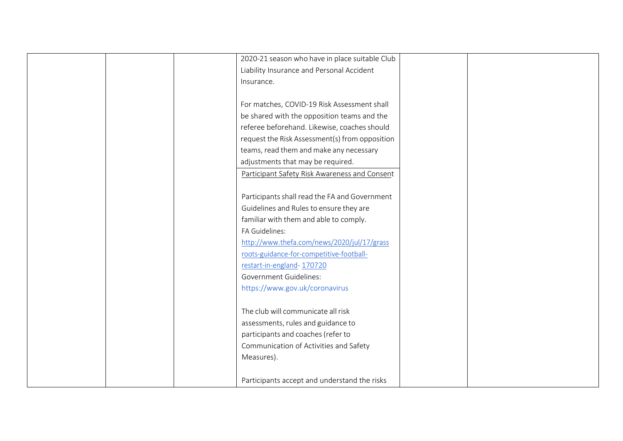| 2020-21 season who have in place suitable Club |
|------------------------------------------------|
| Liability Insurance and Personal Accident      |
| Insurance.                                     |
|                                                |
| For matches, COVID-19 Risk Assessment shall    |
| be shared with the opposition teams and the    |
| referee beforehand. Likewise, coaches should   |
| request the Risk Assessment(s) from opposition |
| teams, read them and make any necessary        |
| adjustments that may be required.              |
| Participant Safety Risk Awareness and Consent  |
|                                                |
| Participants shall read the FA and Government  |
| Guidelines and Rules to ensure they are        |
| familiar with them and able to comply.         |
| FA Guidelines:                                 |
| http://www.thefa.com/news/2020/jul/17/grass    |
| roots-guidance-for-competitive-football-       |
| restart-in-england-170720                      |
| <b>Government Guidelines:</b>                  |
| https://www.gov.uk/coronavirus                 |
|                                                |
| The club will communicate all risk             |
| assessments, rules and guidance to             |
| participants and coaches (refer to             |
| Communication of Activities and Safety         |
| Measures).                                     |
|                                                |
| Participants accept and understand the risks   |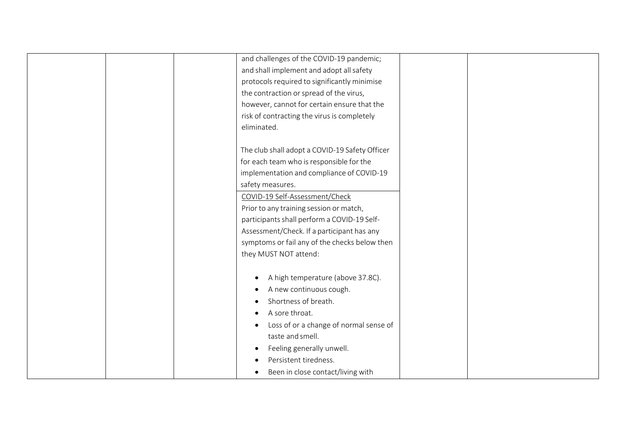|  | and challenges of the COVID-19 pandemic;       |  |
|--|------------------------------------------------|--|
|  |                                                |  |
|  | and shall implement and adopt all safety       |  |
|  | protocols required to significantly minimise   |  |
|  | the contraction or spread of the virus,        |  |
|  | however, cannot for certain ensure that the    |  |
|  | risk of contracting the virus is completely    |  |
|  | eliminated.                                    |  |
|  |                                                |  |
|  | The club shall adopt a COVID-19 Safety Officer |  |
|  | for each team who is responsible for the       |  |
|  | implementation and compliance of COVID-19      |  |
|  | safety measures.                               |  |
|  | COVID-19 Self-Assessment/Check                 |  |
|  | Prior to any training session or match,        |  |
|  | participants shall perform a COVID-19 Self-    |  |
|  | Assessment/Check. If a participant has any     |  |
|  | symptoms or fail any of the checks below then  |  |
|  | they MUST NOT attend:                          |  |
|  |                                                |  |
|  | A high temperature (above 37.8C).              |  |
|  | A new continuous cough.                        |  |
|  | Shortness of breath.                           |  |
|  | A sore throat.                                 |  |
|  | Loss of or a change of normal sense of         |  |
|  | taste and smell.                               |  |
|  | Feeling generally unwell.<br>$\bullet$         |  |
|  | Persistent tiredness.                          |  |
|  | Been in close contact/living with              |  |
|  |                                                |  |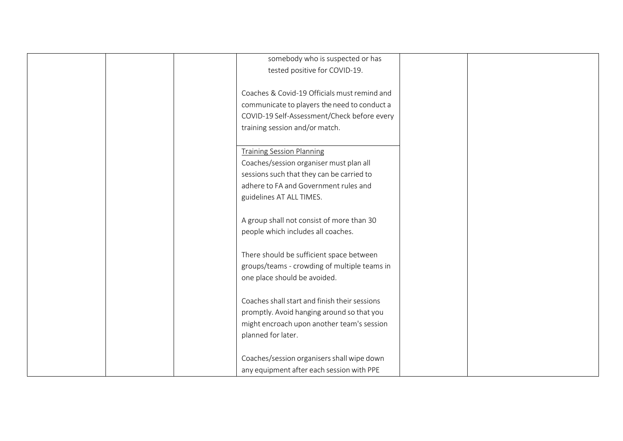| somebody who is suspected or has              |  |
|-----------------------------------------------|--|
| tested positive for COVID-19.                 |  |
|                                               |  |
| Coaches & Covid-19 Officials must remind and  |  |
| communicate to players the need to conduct a  |  |
| COVID-19 Self-Assessment/Check before every   |  |
| training session and/or match.                |  |
|                                               |  |
| <b>Training Session Planning</b>              |  |
| Coaches/session organiser must plan all       |  |
|                                               |  |
| sessions such that they can be carried to     |  |
| adhere to FA and Government rules and         |  |
| guidelines AT ALL TIMES.                      |  |
|                                               |  |
| A group shall not consist of more than 30     |  |
| people which includes all coaches.            |  |
|                                               |  |
| There should be sufficient space between      |  |
| groups/teams - crowding of multiple teams in  |  |
| one place should be avoided.                  |  |
|                                               |  |
| Coaches shall start and finish their sessions |  |
| promptly. Avoid hanging around so that you    |  |
| might encroach upon another team's session    |  |
|                                               |  |
| planned for later.                            |  |
|                                               |  |
| Coaches/session organisers shall wipe down    |  |
| any equipment after each session with PPE     |  |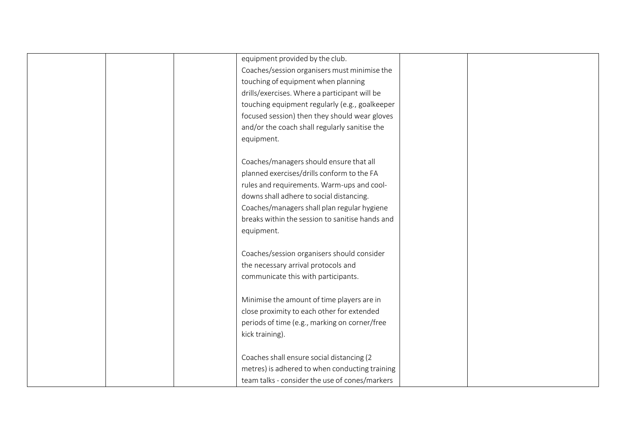|  | equipment provided by the club.                 |  |
|--|-------------------------------------------------|--|
|  |                                                 |  |
|  | Coaches/session organisers must minimise the    |  |
|  | touching of equipment when planning             |  |
|  | drills/exercises. Where a participant will be   |  |
|  | touching equipment regularly (e.g., goalkeeper  |  |
|  | focused session) then they should wear gloves   |  |
|  | and/or the coach shall regularly sanitise the   |  |
|  | equipment.                                      |  |
|  |                                                 |  |
|  | Coaches/managers should ensure that all         |  |
|  | planned exercises/drills conform to the FA      |  |
|  | rules and requirements. Warm-ups and cool-      |  |
|  | downs shall adhere to social distancing.        |  |
|  | Coaches/managers shall plan regular hygiene     |  |
|  | breaks within the session to sanitise hands and |  |
|  | equipment.                                      |  |
|  |                                                 |  |
|  | Coaches/session organisers should consider      |  |
|  | the necessary arrival protocols and             |  |
|  | communicate this with participants.             |  |
|  |                                                 |  |
|  | Minimise the amount of time players are in      |  |
|  |                                                 |  |
|  | close proximity to each other for extended      |  |
|  | periods of time (e.g., marking on corner/free   |  |
|  | kick training).                                 |  |
|  | Coaches shall ensure social distancing (2       |  |
|  | metres) is adhered to when conducting training  |  |
|  |                                                 |  |
|  | team talks - consider the use of cones/markers  |  |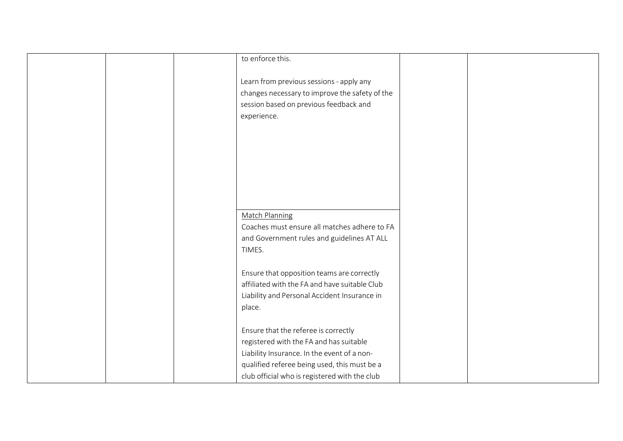|  | to enforce this.                                                                                                                                                                                                                |  |
|--|---------------------------------------------------------------------------------------------------------------------------------------------------------------------------------------------------------------------------------|--|
|  | Learn from previous sessions - apply any<br>changes necessary to improve the safety of the<br>session based on previous feedback and<br>experience.                                                                             |  |
|  |                                                                                                                                                                                                                                 |  |
|  | <b>Match Planning</b><br>Coaches must ensure all matches adhere to FA<br>and Government rules and guidelines AT ALL<br>TIMES.                                                                                                   |  |
|  | Ensure that opposition teams are correctly<br>affiliated with the FA and have suitable Club<br>Liability and Personal Accident Insurance in<br>place.                                                                           |  |
|  | Ensure that the referee is correctly<br>registered with the FA and has suitable<br>Liability Insurance. In the event of a non-<br>qualified referee being used, this must be a<br>club official who is registered with the club |  |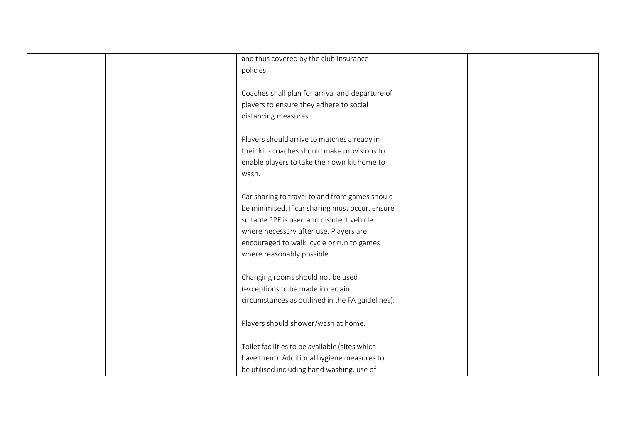|  | and thus covered by the club insurance           |
|--|--------------------------------------------------|
|  |                                                  |
|  | policies.                                        |
|  |                                                  |
|  | Coaches shall plan for arrival and departure of  |
|  | players to ensure they adhere to social          |
|  | distancing measures.                             |
|  |                                                  |
|  | Players should arrive to matches already in      |
|  | their kit - coaches should make provisions to    |
|  | enable players to take their own kit home to     |
|  | wash.                                            |
|  |                                                  |
|  |                                                  |
|  | Car sharing to travel to and from games should   |
|  | be minimised. If car sharing must occur, ensure  |
|  | suitable PPE is used and disinfect vehicle       |
|  | where necessary after use. Players are           |
|  | encouraged to walk, cycle or run to games        |
|  | where reasonably possible.                       |
|  |                                                  |
|  | Changing rooms should not be used                |
|  | (exceptions to be made in certain                |
|  | circumstances as outlined in the FA guidelines). |
|  |                                                  |
|  |                                                  |
|  | Players should shower/wash at home.              |
|  | Toilet facilities to be available (sites which   |
|  |                                                  |
|  | have them). Additional hygiene measures to       |
|  | be utilised including hand washing, use of       |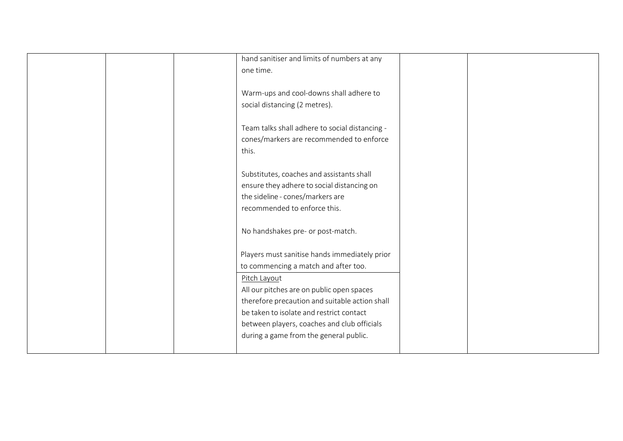|  | hand sanitiser and limits of numbers at any    |  |
|--|------------------------------------------------|--|
|  |                                                |  |
|  | one time.                                      |  |
|  |                                                |  |
|  | Warm-ups and cool-downs shall adhere to        |  |
|  | social distancing (2 metres).                  |  |
|  |                                                |  |
|  | Team talks shall adhere to social distancing - |  |
|  | cones/markers are recommended to enforce       |  |
|  | this.                                          |  |
|  |                                                |  |
|  | Substitutes, coaches and assistants shall      |  |
|  |                                                |  |
|  | ensure they adhere to social distancing on     |  |
|  | the sideline - cones/markers are               |  |
|  | recommended to enforce this.                   |  |
|  |                                                |  |
|  | No handshakes pre- or post-match.              |  |
|  |                                                |  |
|  | Players must sanitise hands immediately prior  |  |
|  | to commencing a match and after too.           |  |
|  |                                                |  |
|  | Pitch Layout                                   |  |
|  | All our pitches are on public open spaces      |  |
|  | therefore precaution and suitable action shall |  |
|  | be taken to isolate and restrict contact       |  |
|  | between players, coaches and club officials    |  |
|  | during a game from the general public.         |  |
|  |                                                |  |
|  |                                                |  |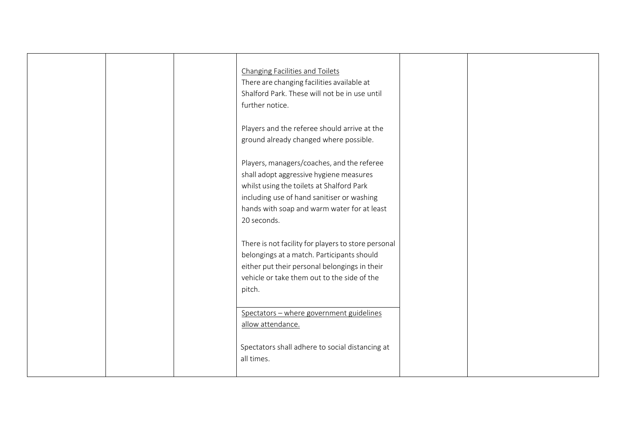| <b>Changing Facilities and Toilets</b><br>There are changing facilities available at<br>Shalford Park. These will not be in use until<br>further notice.                                                                                       |  |
|------------------------------------------------------------------------------------------------------------------------------------------------------------------------------------------------------------------------------------------------|--|
| Players and the referee should arrive at the<br>ground already changed where possible.                                                                                                                                                         |  |
| Players, managers/coaches, and the referee<br>shall adopt aggressive hygiene measures<br>whilst using the toilets at Shalford Park<br>including use of hand sanitiser or washing<br>hands with soap and warm water for at least<br>20 seconds. |  |
| There is not facility for players to store personal<br>belongings at a match. Participants should<br>either put their personal belongings in their<br>vehicle or take them out to the side of the<br>pitch.                                    |  |
| Spectators - where government guidelines<br>allow attendance.                                                                                                                                                                                  |  |
| Spectators shall adhere to social distancing at<br>all times.                                                                                                                                                                                  |  |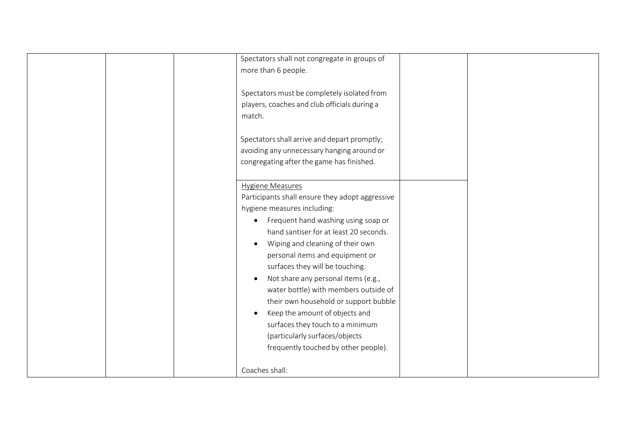|  | Spectators shall not congregate in groups of     |  |
|--|--------------------------------------------------|--|
|  | more than 6 people.                              |  |
|  | Spectators must be completely isolated from      |  |
|  | players, coaches and club officials during a     |  |
|  | match.                                           |  |
|  |                                                  |  |
|  | Spectators shall arrive and depart promptly;     |  |
|  | avoiding any unnecessary hanging around or       |  |
|  | congregating after the game has finished.        |  |
|  |                                                  |  |
|  | <b>Hygiene Measures</b>                          |  |
|  | Participants shall ensure they adopt aggressive  |  |
|  | hygiene measures including:                      |  |
|  | Frequent hand washing using soap or<br>$\bullet$ |  |
|  | hand santiser for at least 20 seconds.           |  |
|  | Wiping and cleaning of their own                 |  |
|  | personal items and equipment or                  |  |
|  | surfaces they will be touching.                  |  |
|  | Not share any personal items (e.g.,              |  |
|  | water bottle) with members outside of            |  |
|  | their own household or support bubble            |  |
|  | Keep the amount of objects and                   |  |
|  | surfaces they touch to a minimum                 |  |
|  | (particularly surfaces/objects                   |  |
|  | frequently touched by other people).             |  |
|  |                                                  |  |
|  | Coaches shall:                                   |  |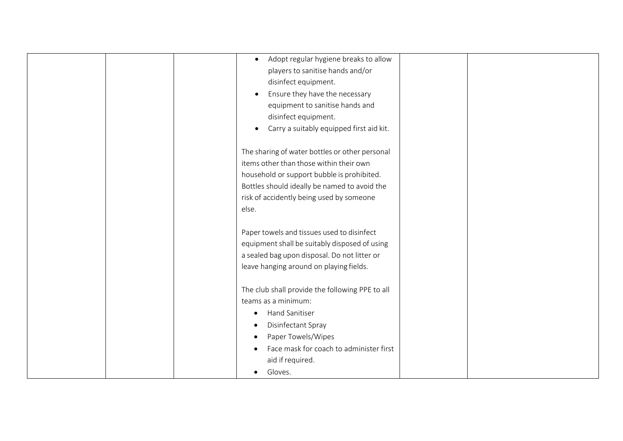| • Adopt regular hygiene breaks to allow<br>players to sanitise hands and/or<br>disinfect equipment.<br>Ensure they have the necessary<br>$\bullet$<br>equipment to sanitise hands and                                                        |  |
|----------------------------------------------------------------------------------------------------------------------------------------------------------------------------------------------------------------------------------------------|--|
| disinfect equipment.<br>Carry a suitably equipped first aid kit.                                                                                                                                                                             |  |
| The sharing of water bottles or other personal<br>items other than those within their own<br>household or support bubble is prohibited.<br>Bottles should ideally be named to avoid the<br>risk of accidently being used by someone<br>else. |  |
| Paper towels and tissues used to disinfect<br>equipment shall be suitably disposed of using<br>a sealed bag upon disposal. Do not litter or<br>leave hanging around on playing fields.                                                       |  |
| The club shall provide the following PPE to all<br>teams as a minimum:<br><b>Hand Sanitiser</b><br>Disinfectant Spray<br>Paper Towels/Wipes<br>Face mask for coach to administer first<br>aid if required.<br>Gloves.                        |  |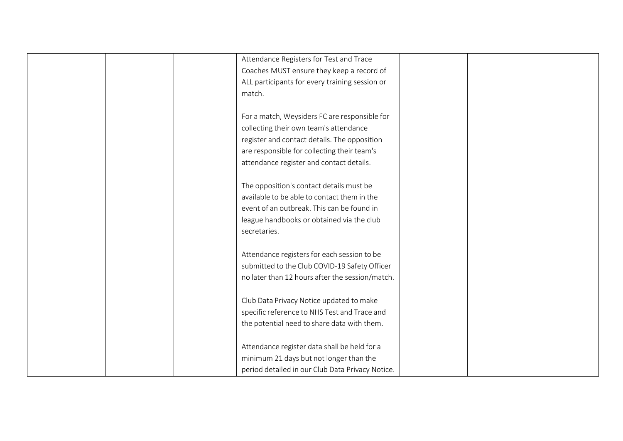| Attendance Registers for Test and Trace          |
|--------------------------------------------------|
| Coaches MUST ensure they keep a record of        |
| ALL participants for every training session or   |
| match.                                           |
|                                                  |
| For a match, Weysiders FC are responsible for    |
| collecting their own team's attendance           |
| register and contact details. The opposition     |
| are responsible for collecting their team's      |
| attendance register and contact details.         |
|                                                  |
| The opposition's contact details must be         |
| available to be able to contact them in the      |
| event of an outbreak. This can be found in       |
| league handbooks or obtained via the club        |
| secretaries.                                     |
|                                                  |
| Attendance registers for each session to be      |
| submitted to the Club COVID-19 Safety Officer    |
| no later than 12 hours after the session/match.  |
|                                                  |
| Club Data Privacy Notice updated to make         |
| specific reference to NHS Test and Trace and     |
| the potential need to share data with them.      |
|                                                  |
| Attendance register data shall be held for a     |
| minimum 21 days but not longer than the          |
| period detailed in our Club Data Privacy Notice. |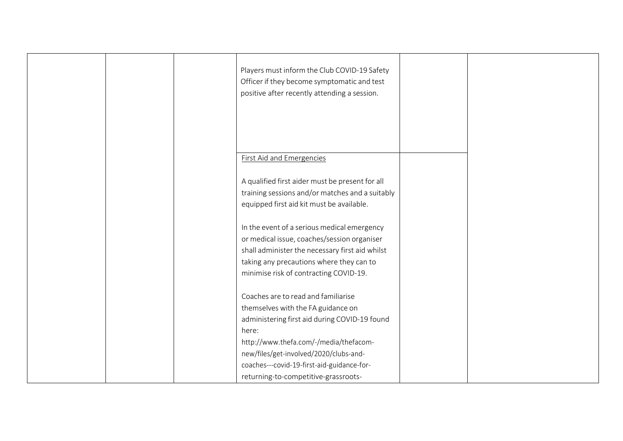|  | Players must inform the Club COVID-19 Safety<br>Officer if they become symptomatic and test<br>positive after recently attending a session.                                                                                         |  |
|--|-------------------------------------------------------------------------------------------------------------------------------------------------------------------------------------------------------------------------------------|--|
|  | <b>First Aid and Emergencies</b>                                                                                                                                                                                                    |  |
|  | A qualified first aider must be present for all<br>training sessions and/or matches and a suitably<br>equipped first aid kit must be available.                                                                                     |  |
|  | In the event of a serious medical emergency<br>or medical issue, coaches/session organiser<br>shall administer the necessary first aid whilst<br>taking any precautions where they can to<br>minimise risk of contracting COVID-19. |  |
|  | Coaches are to read and familiarise<br>themselves with the FA guidance on<br>administering first aid during COVID-19 found<br>here:                                                                                                 |  |
|  | http://www.thefa.com/-/media/thefacom-<br>new/files/get-involved/2020/clubs-and-<br>coaches---covid-19-first-aid-guidance-for-<br>returning-to-competitive-grassroots-                                                              |  |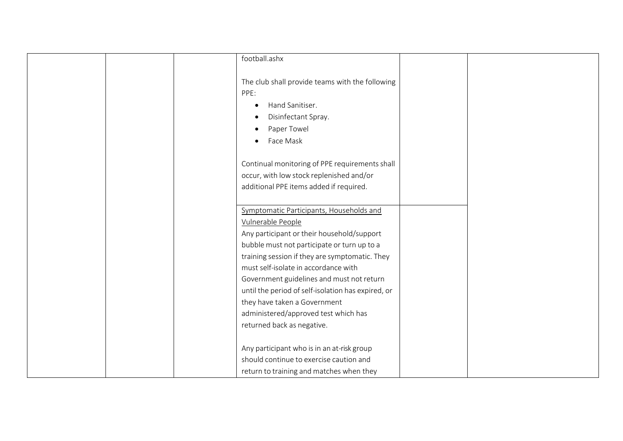| football.ashx                                      |  |
|----------------------------------------------------|--|
|                                                    |  |
| The club shall provide teams with the following    |  |
| PPE:                                               |  |
| Hand Sanitiser.                                    |  |
| Disinfectant Spray.                                |  |
| Paper Towel                                        |  |
| Face Mask                                          |  |
|                                                    |  |
| Continual monitoring of PPE requirements shall     |  |
| occur, with low stock replenished and/or           |  |
| additional PPE items added if required.            |  |
|                                                    |  |
| Symptomatic Participants, Households and           |  |
| Vulnerable People                                  |  |
| Any participant or their household/support         |  |
| bubble must not participate or turn up to a        |  |
| training session if they are symptomatic. They     |  |
| must self-isolate in accordance with               |  |
| Government guidelines and must not return          |  |
| until the period of self-isolation has expired, or |  |
|                                                    |  |
| they have taken a Government                       |  |
| administered/approved test which has               |  |
| returned back as negative.                         |  |
| Any participant who is in an at-risk group         |  |
| should continue to exercise caution and            |  |
|                                                    |  |
| return to training and matches when they           |  |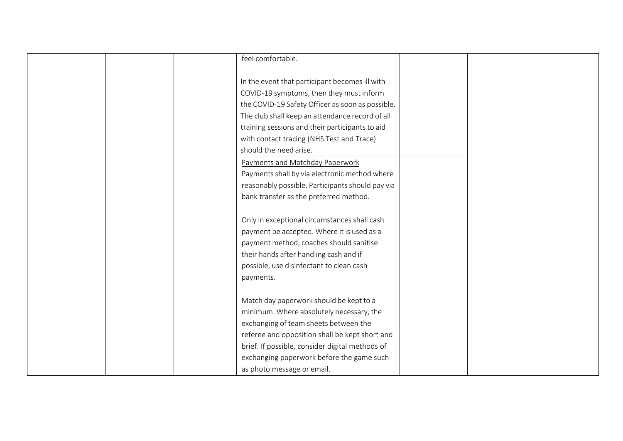|  | feel comfortable.                                |  |
|--|--------------------------------------------------|--|
|  |                                                  |  |
|  | In the event that participant becomes ill with   |  |
|  | COVID-19 symptoms, then they must inform         |  |
|  | the COVID-19 Safety Officer as soon as possible. |  |
|  | The club shall keep an attendance record of all  |  |
|  | training sessions and their participants to aid  |  |
|  | with contact tracing (NHS Test and Trace)        |  |
|  | should the need arise.                           |  |
|  | Payments and Matchday Paperwork                  |  |
|  | Payments shall by via electronic method where    |  |
|  | reasonably possible. Participants should pay via |  |
|  | bank transfer as the preferred method.           |  |
|  |                                                  |  |
|  | Only in exceptional circumstances shall cash     |  |
|  | payment be accepted. Where it is used as a       |  |
|  | payment method, coaches should sanitise          |  |
|  | their hands after handling cash and if           |  |
|  | possible, use disinfectant to clean cash         |  |
|  | payments.                                        |  |
|  |                                                  |  |
|  | Match day paperwork should be kept to a          |  |
|  | minimum. Where absolutely necessary, the         |  |
|  | exchanging of team sheets between the            |  |
|  | referee and opposition shall be kept short and   |  |
|  | brief. If possible, consider digital methods of  |  |
|  | exchanging paperwork before the game such        |  |
|  | as photo message or email.                       |  |